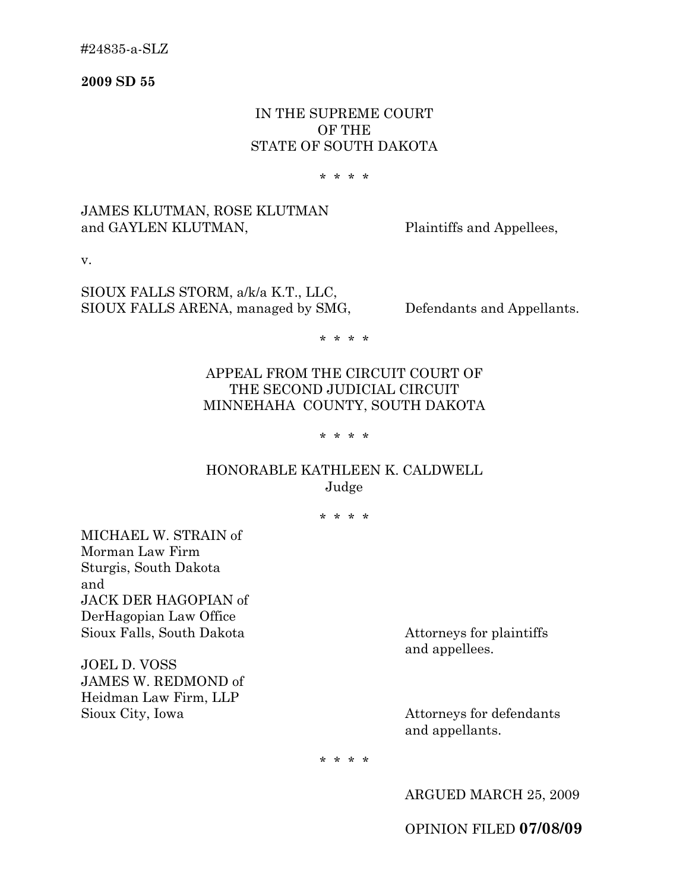**2009 SD 55**

# IN THE SUPREME COURT OF THE STATE OF SOUTH DAKOTA

#### \* \* \* \*

# JAMES KLUTMAN, ROSE KLUTMAN and GAYLEN KLUTMAN, Plaintiffs and Appellees,

v.

SIOUX FALLS STORM, a/k/a K.T., LLC, SIOUX FALLS ARENA, managed by SMG, Defendants and Appellants.

\* \* \* \*

# APPEAL FROM THE CIRCUIT COURT OF THE SECOND JUDICIAL CIRCUIT MINNEHAHA COUNTY, SOUTH DAKOTA

#### \* \* \* \*

# HONORABLE KATHLEEN K. CALDWELL Judge

\* \* \* \*

MICHAEL W. STRAIN of Morman Law Firm Sturgis, South Dakota and JACK DER HAGOPIAN of DerHagopian Law Office Sioux Falls, South Dakota Attorneys for plaintiffs

JOEL D. VOSS JAMES W. REDMOND of Heidman Law Firm, LLP Sioux City, Iowa Attorneys for defendants

and appellees.

and appellants.

\* \* \* \*

ARGUED MARCH 25, 2009

OPINION FILED **07/08/09**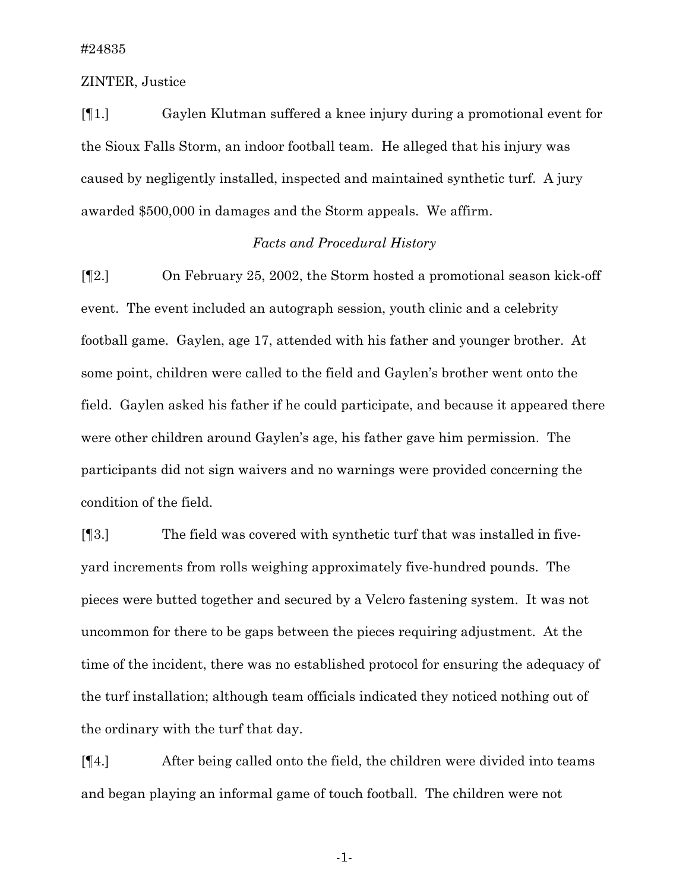ZINTER, Justice

[¶1.] Gaylen Klutman suffered a knee injury during a promotional event for the Sioux Falls Storm, an indoor football team. He alleged that his injury was caused by negligently installed, inspected and maintained synthetic turf. A jury awarded \$500,000 in damages and the Storm appeals. We affirm.

### *Facts and Procedural History*

[¶2.] On February 25, 2002, the Storm hosted a promotional season kick-off event. The event included an autograph session, youth clinic and a celebrity football game. Gaylen, age 17, attended with his father and younger brother. At some point, children were called to the field and Gaylen's brother went onto the field. Gaylen asked his father if he could participate, and because it appeared there were other children around Gaylen's age, his father gave him permission. The participants did not sign waivers and no warnings were provided concerning the condition of the field.

[¶3.] The field was covered with synthetic turf that was installed in fiveyard increments from rolls weighing approximately five-hundred pounds. The pieces were butted together and secured by a Velcro fastening system. It was not uncommon for there to be gaps between the pieces requiring adjustment. At the time of the incident, there was no established protocol for ensuring the adequacy of the turf installation; although team officials indicated they noticed nothing out of the ordinary with the turf that day.

[¶4.] After being called onto the field, the children were divided into teams and began playing an informal game of touch football. The children were not

-1-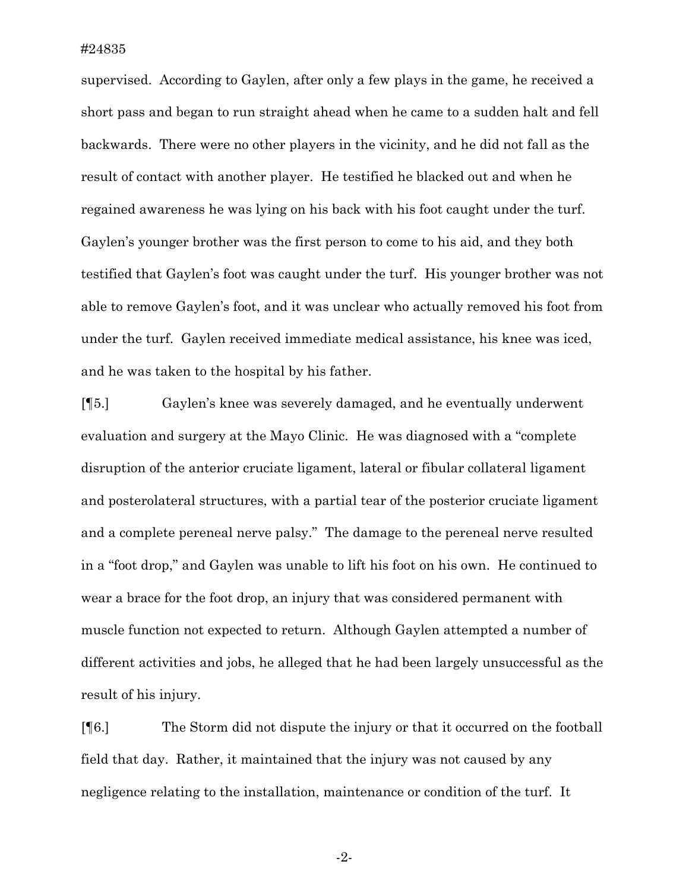supervised. According to Gaylen, after only a few plays in the game, he received a short pass and began to run straight ahead when he came to a sudden halt and fell backwards. There were no other players in the vicinity, and he did not fall as the result of contact with another player. He testified he blacked out and when he regained awareness he was lying on his back with his foot caught under the turf. Gaylen's younger brother was the first person to come to his aid, and they both testified that Gaylen's foot was caught under the turf. His younger brother was not able to remove Gaylen's foot, and it was unclear who actually removed his foot from under the turf. Gaylen received immediate medical assistance, his knee was iced, and he was taken to the hospital by his father.

[¶5.] Gaylen's knee was severely damaged, and he eventually underwent evaluation and surgery at the Mayo Clinic. He was diagnosed with a "complete disruption of the anterior cruciate ligament, lateral or fibular collateral ligament and posterolateral structures, with a partial tear of the posterior cruciate ligament and a complete pereneal nerve palsy." The damage to the pereneal nerve resulted in a "foot drop," and Gaylen was unable to lift his foot on his own. He continued to wear a brace for the foot drop, an injury that was considered permanent with muscle function not expected to return. Although Gaylen attempted a number of different activities and jobs, he alleged that he had been largely unsuccessful as the result of his injury.

[¶6.] The Storm did not dispute the injury or that it occurred on the football field that day. Rather, it maintained that the injury was not caused by any negligence relating to the installation, maintenance or condition of the turf. It

-2-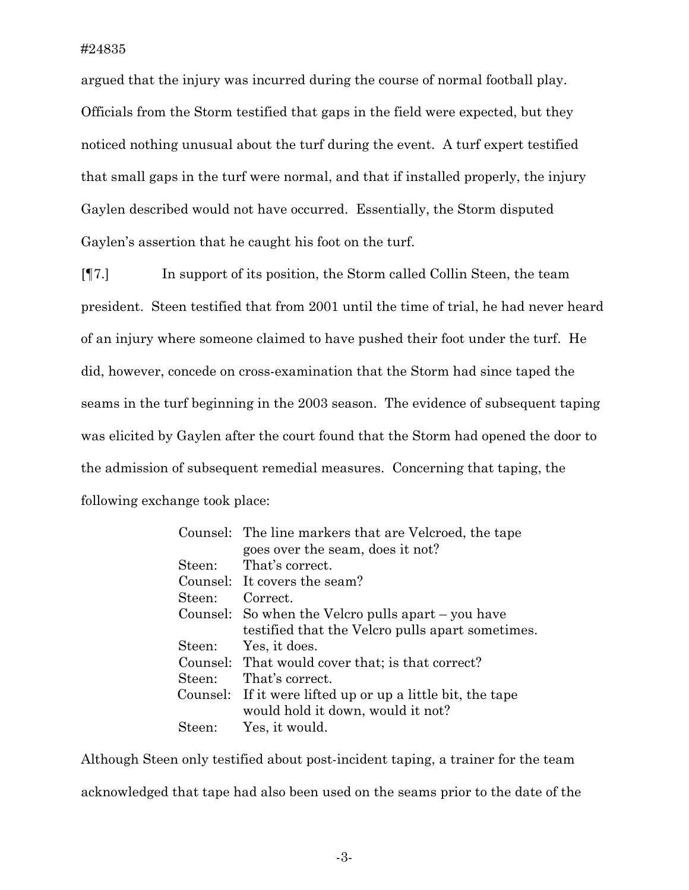argued that the injury was incurred during the course of normal football play. Officials from the Storm testified that gaps in the field were expected, but they noticed nothing unusual about the turf during the event. A turf expert testified that small gaps in the turf were normal, and that if installed properly, the injury Gaylen described would not have occurred. Essentially, the Storm disputed Gaylen's assertion that he caught his foot on the turf.

[¶7.] In support of its position, the Storm called Collin Steen, the team president. Steen testified that from 2001 until the time of trial, he had never heard of an injury where someone claimed to have pushed their foot under the turf. He did, however, concede on cross-examination that the Storm had since taped the seams in the turf beginning in the 2003 season. The evidence of subsequent taping was elicited by Gaylen after the court found that the Storm had opened the door to the admission of subsequent remedial measures. Concerning that taping, the following exchange took place:

|        | Counsel: The line markers that are Velcroed, the tape      |
|--------|------------------------------------------------------------|
|        | goes over the seam, does it not?                           |
|        | Steen: That's correct.                                     |
|        | Counsel: It covers the seam?                               |
| Steen: | Correct                                                    |
|        | Counsel: So when the Velcro pulls apart – you have         |
|        | testified that the Velcro pulls apart sometimes.           |
|        | Steen: Yes, it does.                                       |
|        | Counsel: That would cover that; is that correct?           |
| Steen: | That's correct.                                            |
|        | Counsel: If it were lifted up or up a little bit, the tape |
|        | would hold it down, would it not?                          |
| Steen: | Yes, it would.                                             |
|        |                                                            |

Although Steen only testified about post-incident taping, a trainer for the team acknowledged that tape had also been used on the seams prior to the date of the

-3-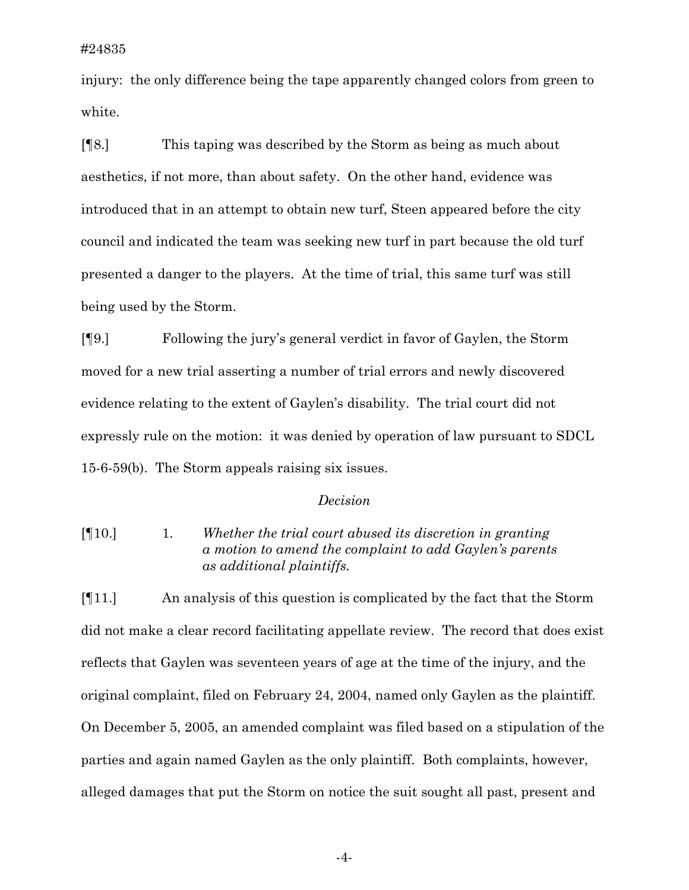injury: the only difference being the tape apparently changed colors from green to white.

[¶8.] This taping was described by the Storm as being as much about aesthetics, if not more, than about safety. On the other hand, evidence was introduced that in an attempt to obtain new turf, Steen appeared before the city council and indicated the team was seeking new turf in part because the old turf presented a danger to the players. At the time of trial, this same turf was still being used by the Storm.

[¶9.] Following the jury's general verdict in favor of Gaylen, the Storm moved for a new trial asserting a number of trial errors and newly discovered evidence relating to the extent of Gaylen's disability. The trial court did not expressly rule on the motion: it was denied by operation of law pursuant to SDCL 15-6-59(b). The Storm appeals raising six issues.

### *Decision*

[¶10.] 1. *Whether the trial court abused its discretion in granting a motion to amend the complaint to add Gaylen's parents as additional plaintiffs.* 

[¶11.] An analysis of this question is complicated by the fact that the Storm did not make a clear record facilitating appellate review. The record that does exist reflects that Gaylen was seventeen years of age at the time of the injury, and the original complaint, filed on February 24, 2004, named only Gaylen as the plaintiff. On December 5, 2005, an amended complaint was filed based on a stipulation of the parties and again named Gaylen as the only plaintiff. Both complaints, however, alleged damages that put the Storm on notice the suit sought all past, present and

-4-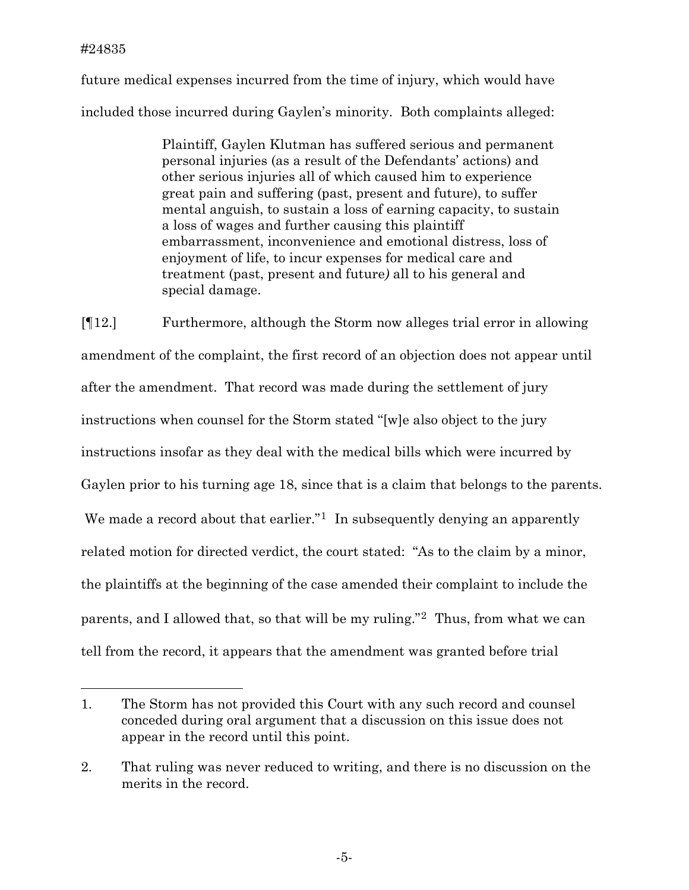future medical expenses incurred from the time of injury, which would have included those incurred during Gaylen's minority. Both complaints alleged:

> Plaintiff, Gaylen Klutman has suffered serious and permanent personal injuries (as a result of the Defendants' actions) and other serious injuries all of which caused him to experience great pain and suffering (past, present and future), to suffer mental anguish, to sustain a loss of earning capacity, to sustain a loss of wages and further causing this plaintiff embarrassment, inconvenience and emotional distress, loss of enjoyment of life, to incur expenses for medical care and treatment (past, present and future*)* all to his general and special damage.

[¶12.] Furthermore, although the Storm now alleges trial error in allowing amendment of the complaint, the first record of an objection does not appear until after the amendment. That record was made during the settlement of jury instructions when counsel for the Storm stated "[w]e also object to the jury instructions insofar as they deal with the medical bills which were incurred by Gaylen prior to his turning age 18, since that is a claim that belongs to the parents. We made a record about that earlier.<sup>"[1](#page-5-0)</sup> In subsequently denying an apparently related motion for directed verdict, the court stated: "As to the claim by a minor, the plaintiffs at the beginning of the case amended their complaint to include the parents, and I allowed that, so that will be my ruling."[2](#page-5-1) Thus, from what we can tell from the record, it appears that the amendment was granted before trial

<span id="page-5-0"></span><sup>1.</sup> The Storm has not provided this Court with any such record and counsel conceded during oral argument that a discussion on this issue does not appear in the record until this point.

<span id="page-5-1"></span><sup>2.</sup> That ruling was never reduced to writing, and there is no discussion on the merits in the record.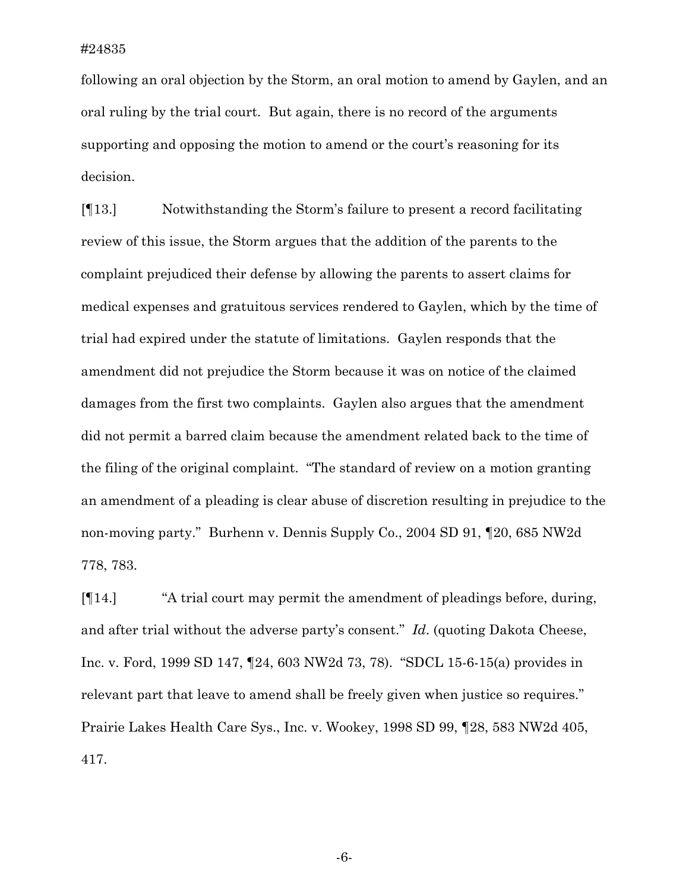following an oral objection by the Storm, an oral motion to amend by Gaylen, and an oral ruling by the trial court. But again, there is no record of the arguments supporting and opposing the motion to amend or the court's reasoning for its decision.

[¶13.] Notwithstanding the Storm's failure to present a record facilitating review of this issue, the Storm argues that the addition of the parents to the complaint prejudiced their defense by allowing the parents to assert claims for medical expenses and gratuitous services rendered to Gaylen, which by the time of trial had expired under the statute of limitations. Gaylen responds that the amendment did not prejudice the Storm because it was on notice of the claimed damages from the first two complaints. Gaylen also argues that the amendment did not permit a barred claim because the amendment related back to the time of the filing of the original complaint. "The standard of review on a motion granting an amendment of a pleading is clear abuse of discretion resulting in prejudice to the non-moving party." Burhenn v. Dennis Supply Co., 2004 SD 91, ¶20, 685 NW2d 778, 783.

[¶14.] "A trial court may permit the amendment of pleadings before, during, and after trial without the adverse party's consent." *Id*. (quoting Dakota Cheese, Inc. v. Ford, 1999 SD 147, ¶24, 603 NW2d 73, 78). "SDCL 15-6-15(a) provides in relevant part that leave to amend shall be freely given when justice so requires." Prairie Lakes Health Care Sys., Inc. v. Wookey, 1998 SD 99, ¶28, 583 NW2d 405, 417.

-6-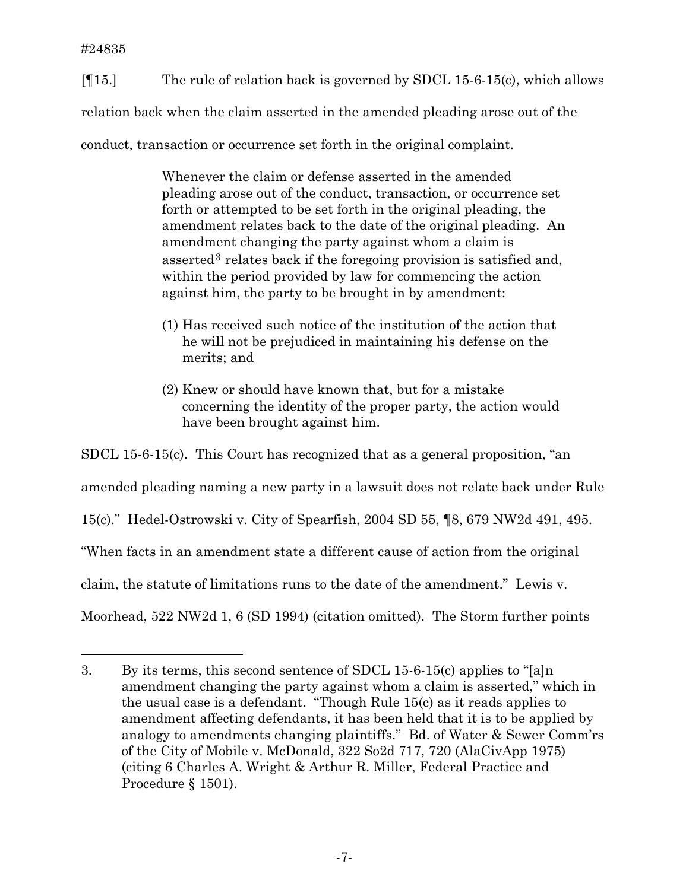[¶15.] The rule of relation back is governed by SDCL 15-6-15(c), which allows

relation back when the claim asserted in the amended pleading arose out of the

conduct, transaction or occurrence set forth in the original complaint.

Whenever the claim or defense asserted in the amended pleading arose out of the conduct, transaction, or occurrence set forth or attempted to be set forth in the original pleading, the amendment relates back to the date of the original pleading. An amendment changing the party against whom a claim is asserted<sup>[3](#page-7-0)</sup> relates back if the foregoing provision is satisfied and, within the period provided by law for commencing the action against him, the party to be brought in by amendment:

- (1) Has received such notice of the institution of the action that he will not be prejudiced in maintaining his defense on the merits; and
- (2) Knew or should have known that, but for a mistake concerning the identity of the proper party, the action would have been brought against him.

SDCL 15-6-15(c). This Court has recognized that as a general proposition, "an amended pleading naming a new party in a lawsuit does not relate back under Rule 15(c)." Hedel-Ostrowski v. City of Spearfish, 2004 SD 55, ¶8, 679 NW2d 491, 495. "When facts in an amendment state a different cause of action from the original claim, the statute of limitations runs to the date of the amendment." Lewis v. Moorhead, 522 NW2d 1, 6 (SD 1994) (citation omitted). The Storm further points

<span id="page-7-0"></span><sup>3.</sup> By its terms, this second sentence of SDCL 15-6-15(c) applies to "[a]n amendment changing the party against whom a claim is asserted," which in the usual case is a defendant. "Though Rule 15(c) as it reads applies to amendment affecting defendants, it has been held that it is to be applied by analogy to amendments changing plaintiffs." Bd. of Water & Sewer Comm'rs of the City of Mobile v. McDonald, 322 So2d 717, 720 (AlaCivApp 1975) (citing 6 Charles A. Wright & Arthur R. Miller, Federal Practice and Procedure § 1501).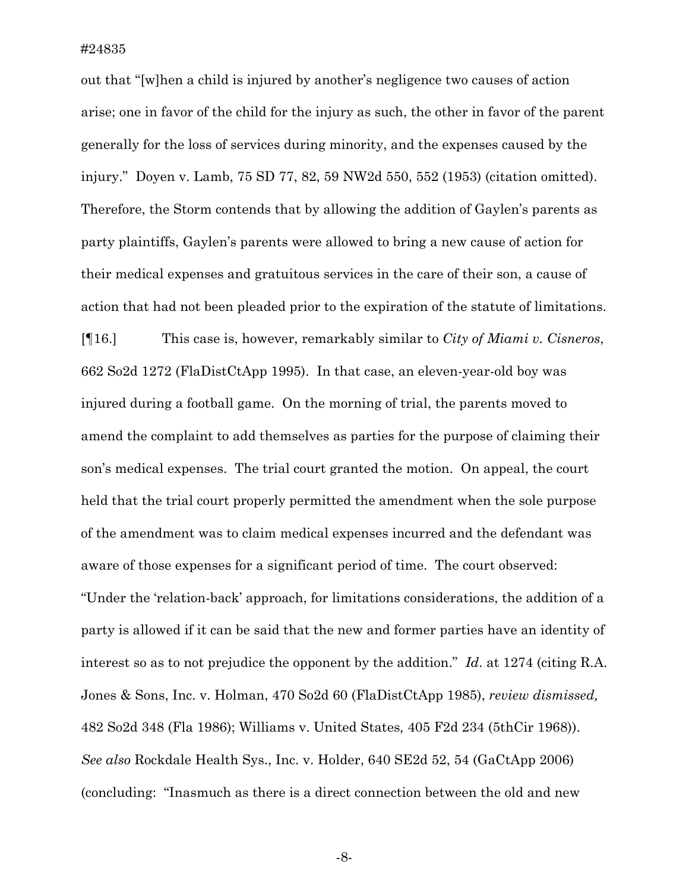out that "[w]hen a child is injured by another's negligence two causes of action arise; one in favor of the child for the injury as such, the other in favor of the parent generally for the loss of services during minority, and the expenses caused by the injury." Doyen v. Lamb, 75 SD 77, 82, 59 NW2d 550, 552 (1953) (citation omitted). Therefore, the Storm contends that by allowing the addition of Gaylen's parents as party plaintiffs, Gaylen's parents were allowed to bring a new cause of action for their medical expenses and gratuitous services in the care of their son, a cause of action that had not been pleaded prior to the expiration of the statute of limitations.

[¶16.] This case is, however, remarkably similar to *City of Miami v. Cisneros*, 662 So2d 1272 (FlaDistCtApp 1995). In that case, an eleven-year-old boy was injured during a football game. On the morning of trial, the parents moved to amend the complaint to add themselves as parties for the purpose of claiming their son's medical expenses. The trial court granted the motion. On appeal, the court held that the trial court properly permitted the amendment when the sole purpose of the amendment was to claim medical expenses incurred and the defendant was aware of those expenses for a significant period of time. The court observed: "Under the 'relation-back' approach, for limitations considerations, the addition of a party is allowed if it can be said that the new and former parties have an identity of interest so as to not prejudice the opponent by the addition." *Id*. at 1274 (citing R.A. Jones & Sons, Inc. v. Holman, 470 So2d 60 (FlaDistCtApp 1985), *review dismissed,* 482 So2d 348 (Fla 1986); Williams v. United States*,* 405 F2d 234 (5thCir 1968)). *See also* Rockdale Health Sys., Inc. v. Holder, 640 SE2d 52, 54 (GaCtApp 2006) (concluding: "Inasmuch as there is a direct connection between the old and new

-8-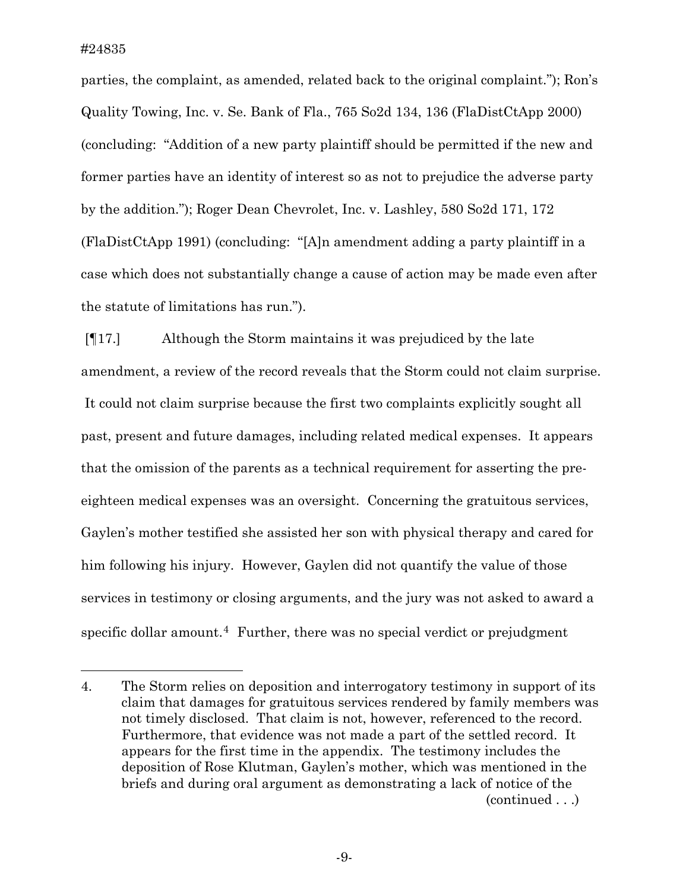i

parties, the complaint, as amended, related back to the original complaint."); Ron's Quality Towing, Inc. v. Se. Bank of Fla., 765 So2d 134, 136 (FlaDistCtApp 2000) (concluding: "Addition of a new party plaintiff should be permitted if the new and former parties have an identity of interest so as not to prejudice the adverse party by the addition."); Roger Dean Chevrolet, Inc. v. Lashley, 580 So2d 171, 172 (FlaDistCtApp 1991) (concluding: "[A]n amendment adding a party plaintiff in a case which does not substantially change a cause of action may be made even after the statute of limitations has run.").

 [¶17.] Although the Storm maintains it was prejudiced by the late amendment, a review of the record reveals that the Storm could not claim surprise. It could not claim surprise because the first two complaints explicitly sought all past, present and future damages, including related medical expenses. It appears that the omission of the parents as a technical requirement for asserting the preeighteen medical expenses was an oversight. Concerning the gratuitous services, Gaylen's mother testified she assisted her son with physical therapy and cared for him following his injury. However, Gaylen did not quantify the value of those services in testimony or closing arguments, and the jury was not asked to award a specific dollar amount.<sup>[4](#page-9-0)</sup> Further, there was no special verdict or prejudgment

<span id="page-9-0"></span>(continued . . .) 4. The Storm relies on deposition and interrogatory testimony in support of its claim that damages for gratuitous services rendered by family members was not timely disclosed. That claim is not, however, referenced to the record. Furthermore, that evidence was not made a part of the settled record. It appears for the first time in the appendix. The testimony includes the deposition of Rose Klutman, Gaylen's mother, which was mentioned in the briefs and during oral argument as demonstrating a lack of notice of the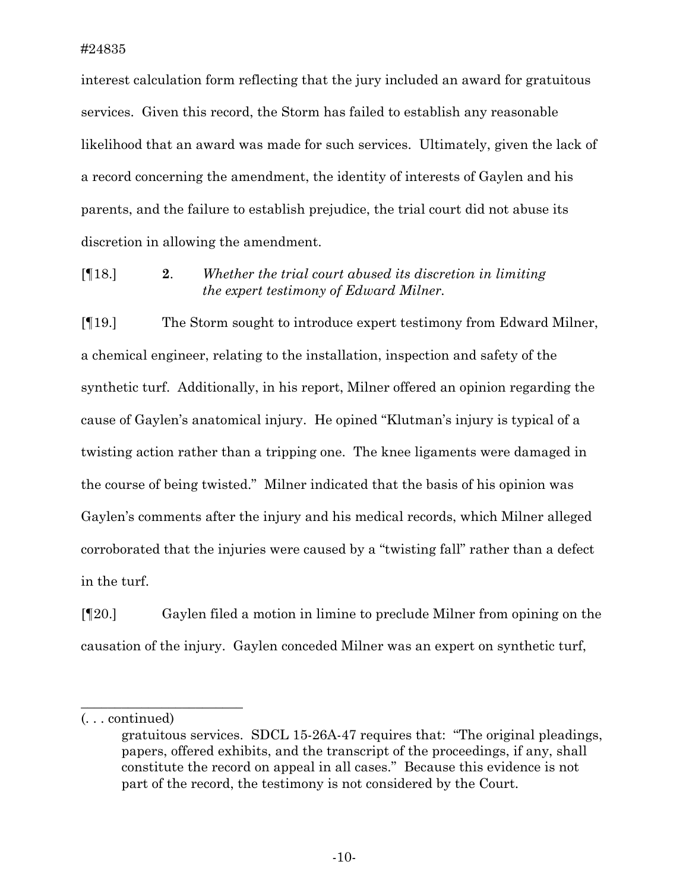interest calculation form reflecting that the jury included an award for gratuitous services. Given this record, the Storm has failed to establish any reasonable likelihood that an award was made for such services. Ultimately, given the lack of a record concerning the amendment, the identity of interests of Gaylen and his parents, and the failure to establish prejudice, the trial court did not abuse its discretion in allowing the amendment.

[¶18.] **2**. *Whether the trial court abused its discretion in limiting the expert testimony of Edward Milner.* 

[¶19.]The Storm sought to introduce expert testimony from Edward Milner, a chemical engineer, relating to the installation, inspection and safety of the synthetic turf. Additionally, in his report, Milner offered an opinion regarding the cause of Gaylen's anatomical injury. He opined "Klutman's injury is typical of a twisting action rather than a tripping one. The knee ligaments were damaged in the course of being twisted." Milner indicated that the basis of his opinion was Gaylen's comments after the injury and his medical records, which Milner alleged corroborated that the injuries were caused by a "twisting fall" rather than a defect in the turf.

[¶20.] Gaylen filed a motion in limine to preclude Milner from opining on the causation of the injury. Gaylen conceded Milner was an expert on synthetic turf,

(. . . continued)

\_\_\_\_\_\_\_\_\_\_\_\_\_\_\_\_\_\_\_\_\_\_\_\_

gratuitous services. SDCL 15-26A-47 requires that: "The original pleadings, papers, offered exhibits, and the transcript of the proceedings, if any, shall constitute the record on appeal in all cases." Because this evidence is not part of the record, the testimony is not considered by the Court.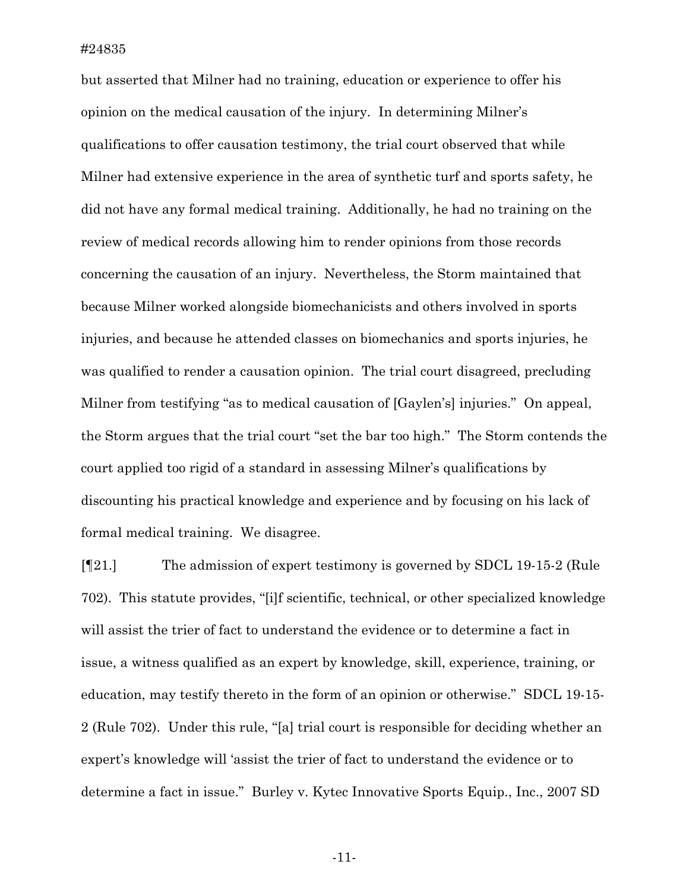but asserted that Milner had no training, education or experience to offer his opinion on the medical causation of the injury. In determining Milner's qualifications to offer causation testimony, the trial court observed that while Milner had extensive experience in the area of synthetic turf and sports safety, he did not have any formal medical training. Additionally, he had no training on the review of medical records allowing him to render opinions from those records concerning the causation of an injury. Nevertheless, the Storm maintained that because Milner worked alongside biomechanicists and others involved in sports injuries, and because he attended classes on biomechanics and sports injuries, he was qualified to render a causation opinion. The trial court disagreed, precluding Milner from testifying "as to medical causation of [Gaylen's] injuries." On appeal, the Storm argues that the trial court "set the bar too high." The Storm contends the court applied too rigid of a standard in assessing Milner's qualifications by discounting his practical knowledge and experience and by focusing on his lack of formal medical training. We disagree.

[¶21.] The admission of expert testimony is governed by SDCL 19-15-2 (Rule 702). This statute provides, "[i]f scientific, technical, or other specialized knowledge will assist the trier of fact to understand the evidence or to determine a fact in issue, a witness qualified as an expert by knowledge, skill, experience, training, or education, may testify thereto in the form of an opinion or otherwise." SDCL 19-15- 2 (Rule 702). Under this rule, "[a] trial court is responsible for deciding whether an expert's knowledge will 'assist the trier of fact to understand the evidence or to determine a fact in issue." Burley v. Kytec Innovative Sports Equip., Inc., 2007 SD

-11-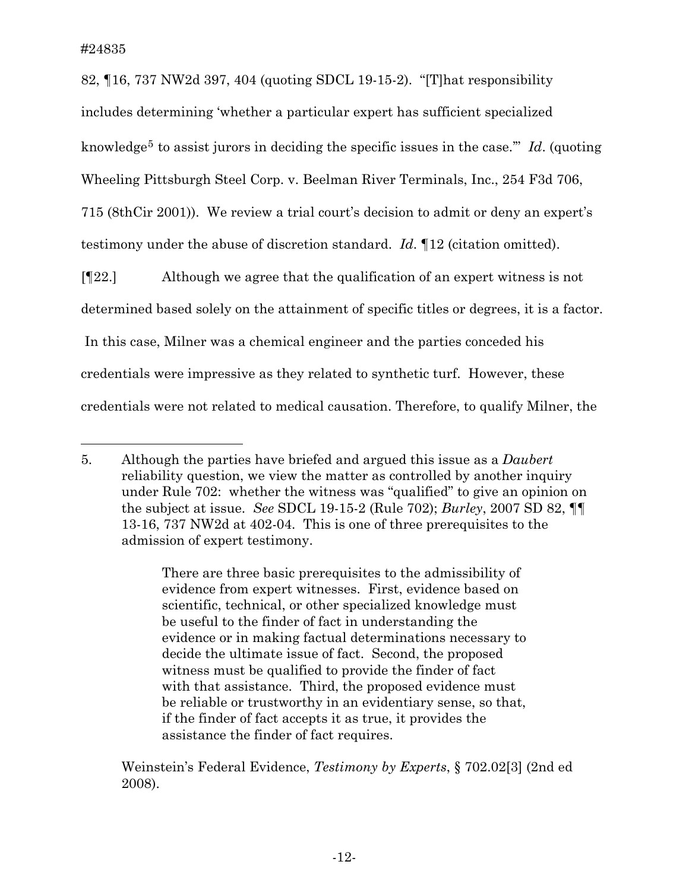i

82, ¶16, 737 NW2d 397, 404 (quoting SDCL 19-15-2). "[T]hat responsibility includes determining 'whether a particular expert has sufficient specialized knowledge<sup>[5](#page-12-0)</sup> to assist jurors in deciding the specific issues in the case."" *Id*. (quoting Wheeling Pittsburgh Steel Corp. v. Beelman River Terminals, Inc., 254 F3d 706, 715 (8thCir 2001)). We review a trial court's decision to admit or deny an expert's testimony under the abuse of discretion standard. *Id*. ¶12 (citation omitted).

[¶22.] Although we agree that the qualification of an expert witness is not determined based solely on the attainment of specific titles or degrees, it is a factor. In this case, Milner was a chemical engineer and the parties conceded his credentials were impressive as they related to synthetic turf. However, these credentials were not related to medical causation. Therefore, to qualify Milner, the

There are three basic prerequisites to the admissibility of evidence from expert witnesses. First, evidence based on scientific, technical, or other specialized knowledge must be useful to the finder of fact in understanding the evidence or in making factual determinations necessary to decide the ultimate issue of fact. Second, the proposed witness must be qualified to provide the finder of fact with that assistance. Third, the proposed evidence must be reliable or trustworthy in an evidentiary sense, so that, if the finder of fact accepts it as true, it provides the assistance the finder of fact requires.

Weinstein's Federal Evidence, *Testimony by Experts*, § 702.02[3] (2nd ed 2008).

<span id="page-12-0"></span><sup>5.</sup> Although the parties have briefed and argued this issue as a *Daubert* reliability question, we view the matter as controlled by another inquiry under Rule 702: whether the witness was "qualified" to give an opinion on the subject at issue. *See* SDCL 19-15-2 (Rule 702); *Burley*, 2007 SD 82, ¶¶ 13-16, 737 NW2d at 402-04. This is one of three prerequisites to the admission of expert testimony.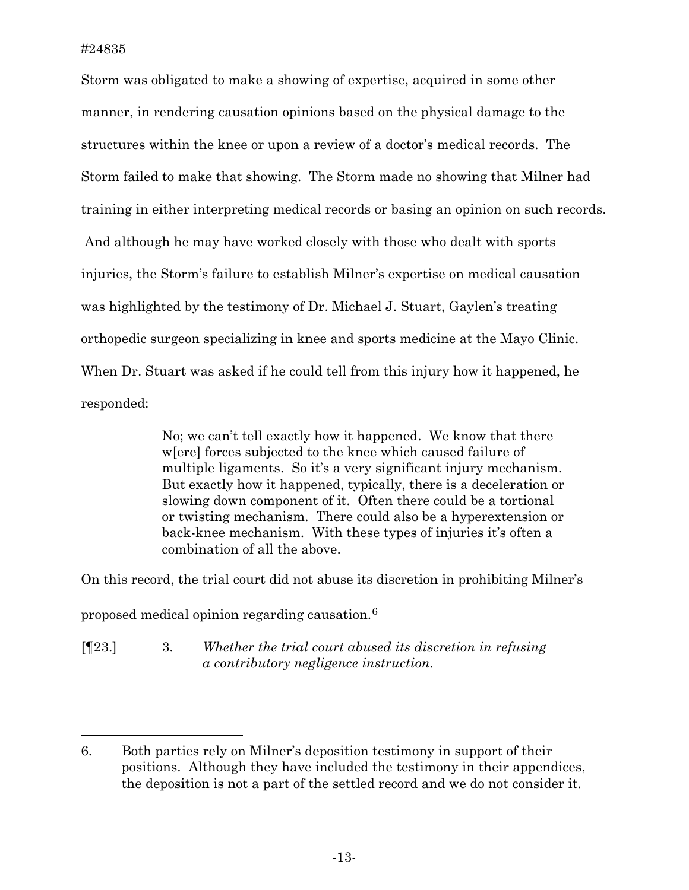Storm was obligated to make a showing of expertise, acquired in some other manner, in rendering causation opinions based on the physical damage to the structures within the knee or upon a review of a doctor's medical records. The Storm failed to make that showing. The Storm made no showing that Milner had training in either interpreting medical records or basing an opinion on such records. And although he may have worked closely with those who dealt with sports injuries, the Storm's failure to establish Milner's expertise on medical causation was highlighted by the testimony of Dr. Michael J. Stuart, Gaylen's treating orthopedic surgeon specializing in knee and sports medicine at the Mayo Clinic. When Dr. Stuart was asked if he could tell from this injury how it happened, he responded:

> No; we can't tell exactly how it happened. We know that there w[ere] forces subjected to the knee which caused failure of multiple ligaments. So it's a very significant injury mechanism. But exactly how it happened, typically, there is a deceleration or slowing down component of it. Often there could be a tortional or twisting mechanism. There could also be a hyperextension or back-knee mechanism. With these types of injuries it's often a combination of all the above.

On this record, the trial court did not abuse its discretion in prohibiting Milner's

proposed medical opinion regarding causation.[6](#page-13-0)

[¶23.] 3. *Whether the trial court abused its discretion in refusing a contributory negligence instruction.* 

<span id="page-13-0"></span><sup>6.</sup> Both parties rely on Milner's deposition testimony in support of their positions. Although they have included the testimony in their appendices, the deposition is not a part of the settled record and we do not consider it.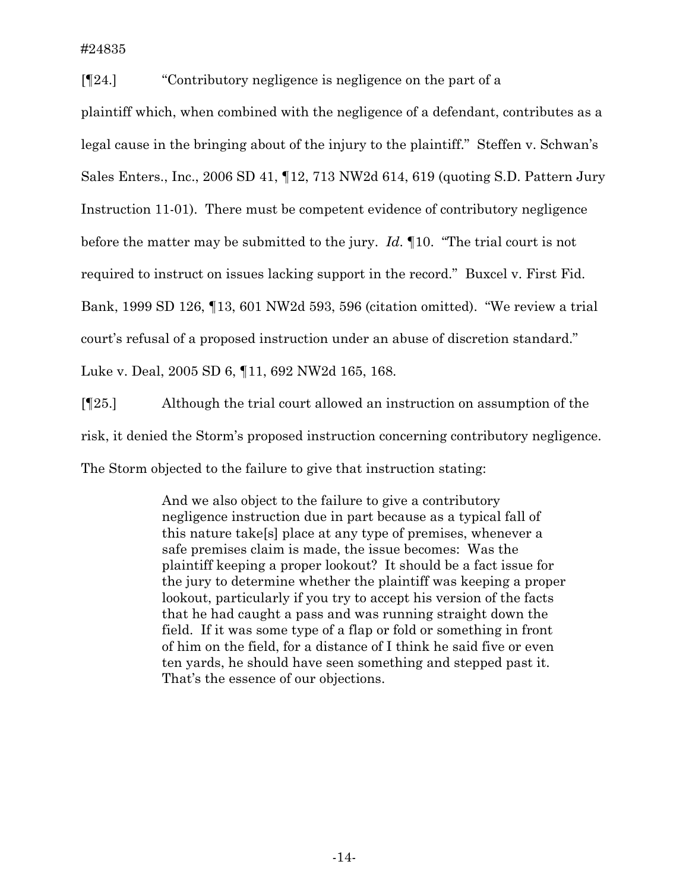[¶24.] "Contributory negligence is negligence on the part of a plaintiff which, when combined with the negligence of a defendant, contributes as a legal cause in the bringing about of the injury to the plaintiff." Steffen v. Schwan's Sales Enters., Inc., 2006 SD 41, ¶12, 713 NW2d 614, 619 (quoting S.D. Pattern Jury Instruction 11-01). There must be competent evidence of contributory negligence before the matter may be submitted to the jury. *Id*. ¶10. "The trial court is not required to instruct on issues lacking support in the record." Buxcel v. First Fid. Bank, 1999 SD 126, ¶13, 601 NW2d 593, 596 (citation omitted). "We review a trial court's refusal of a proposed instruction under an abuse of discretion standard." Luke v. Deal, 2005 SD 6, ¶11, 692 NW2d 165, 168.

[¶25.] Although the trial court allowed an instruction on assumption of the risk, it denied the Storm's proposed instruction concerning contributory negligence. The Storm objected to the failure to give that instruction stating:

> And we also object to the failure to give a contributory negligence instruction due in part because as a typical fall of this nature take[s] place at any type of premises, whenever a safe premises claim is made, the issue becomes: Was the plaintiff keeping a proper lookout? It should be a fact issue for the jury to determine whether the plaintiff was keeping a proper lookout, particularly if you try to accept his version of the facts that he had caught a pass and was running straight down the field. If it was some type of a flap or fold or something in front of him on the field, for a distance of I think he said five or even ten yards, he should have seen something and stepped past it. That's the essence of our objections.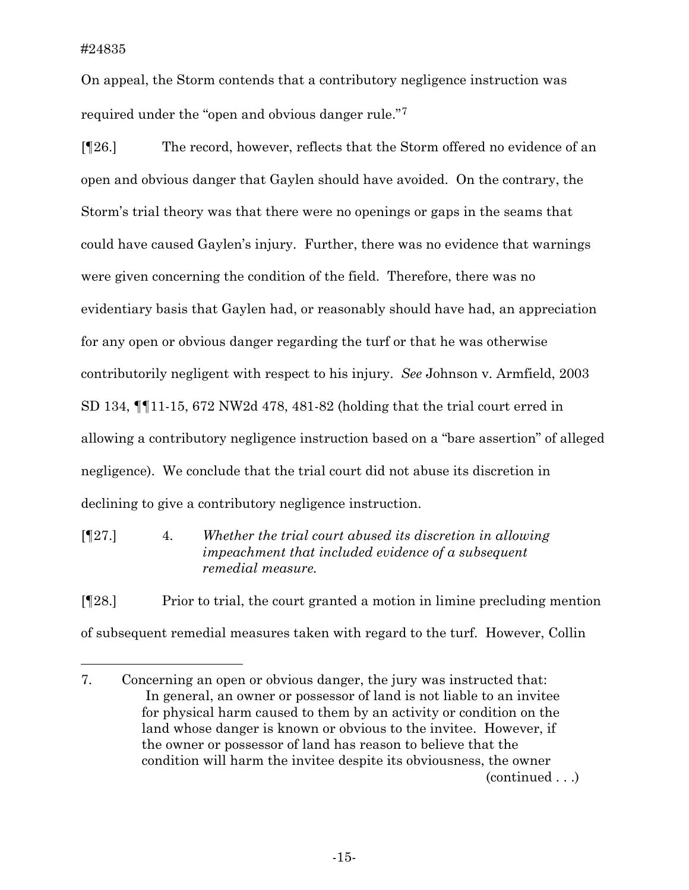On appeal, the Storm contends that a contributory negligence instruction was required under the "open and obvious danger rule."[7](#page-15-0)

[¶26.] The record, however, reflects that the Storm offered no evidence of an open and obvious danger that Gaylen should have avoided. On the contrary, the Storm's trial theory was that there were no openings or gaps in the seams that could have caused Gaylen's injury. Further, there was no evidence that warnings were given concerning the condition of the field. Therefore, there was no evidentiary basis that Gaylen had, or reasonably should have had, an appreciation for any open or obvious danger regarding the turf or that he was otherwise contributorily negligent with respect to his injury. *See* Johnson v. Armfield, 2003 SD 134, ¶¶11-15, 672 NW2d 478, 481-82 (holding that the trial court erred in allowing a contributory negligence instruction based on a "bare assertion" of alleged negligence). We conclude that the trial court did not abuse its discretion in declining to give a contributory negligence instruction.

[¶27.] 4. *Whether the trial court abused its discretion in allowing impeachment that included evidence of a subsequent remedial measure.* 

[¶28.] Prior to trial, the court granted a motion in limine precluding mention of subsequent remedial measures taken with regard to the turf. However, Collin

<span id="page-15-0"></span>(continued . . .) 7. Concerning an open or obvious danger, the jury was instructed that: In general, an owner or possessor of land is not liable to an invitee for physical harm caused to them by an activity or condition on the land whose danger is known or obvious to the invitee. However, if the owner or possessor of land has reason to believe that the condition will harm the invitee despite its obviousness, the owner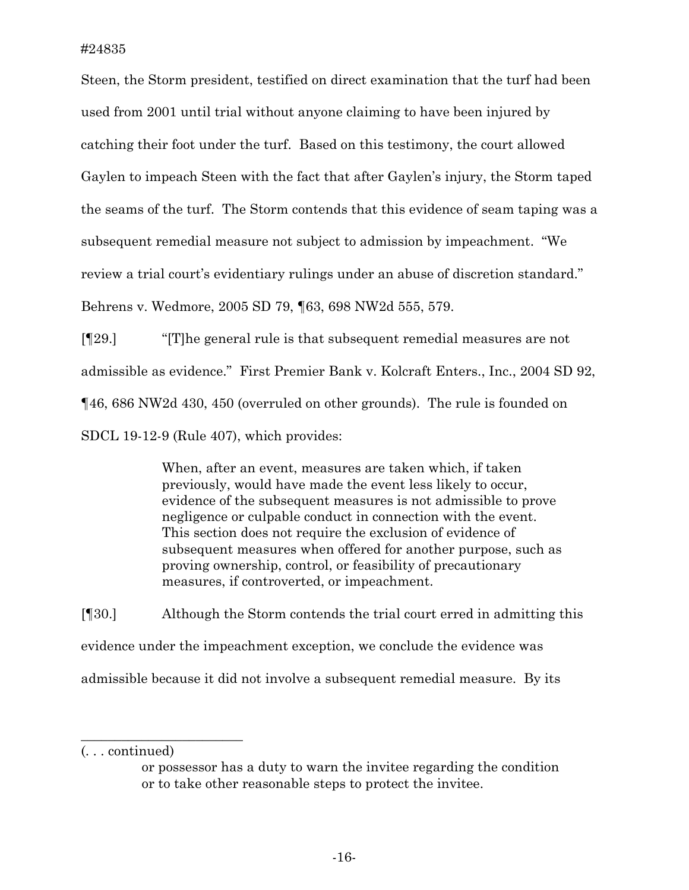Steen, the Storm president, testified on direct examination that the turf had been used from 2001 until trial without anyone claiming to have been injured by catching their foot under the turf. Based on this testimony, the court allowed Gaylen to impeach Steen with the fact that after Gaylen's injury, the Storm taped the seams of the turf. The Storm contends that this evidence of seam taping was a subsequent remedial measure not subject to admission by impeachment. "We review a trial court's evidentiary rulings under an abuse of discretion standard." Behrens v. Wedmore, 2005 SD 79, ¶63, 698 NW2d 555, 579.

[¶29.] "[T]he general rule is that subsequent remedial measures are not admissible as evidence." First Premier Bank v. Kolcraft Enters., Inc., 2004 SD 92, ¶46, 686 NW2d 430, 450 (overruled on other grounds). The rule is founded on SDCL 19-12-9 (Rule 407), which provides:

> When, after an event, measures are taken which, if taken previously, would have made the event less likely to occur, evidence of the subsequent measures is not admissible to prove negligence or culpable conduct in connection with the event. This section does not require the exclusion of evidence of subsequent measures when offered for another purpose, such as proving ownership, control, or feasibility of precautionary measures, if controverted, or impeachment.

[¶30.] Although the Storm contends the trial court erred in admitting this evidence under the impeachment exception, we conclude the evidence was admissible because it did not involve a subsequent remedial measure. By its

\_\_\_\_\_\_\_\_\_\_\_\_\_\_\_\_\_\_\_\_\_\_\_\_

<sup>(. . .</sup> continued)

or possessor has a duty to warn the invitee regarding the condition or to take other reasonable steps to protect the invitee.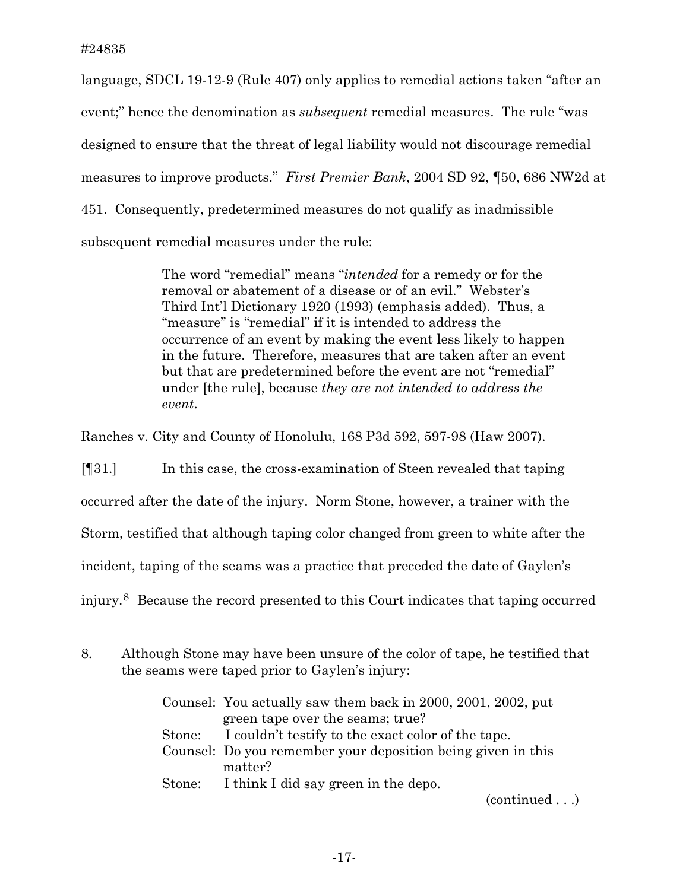i

language, SDCL 19-12-9 (Rule 407) only applies to remedial actions taken "after an event;" hence the denomination as *subsequent* remedial measures. The rule "was designed to ensure that the threat of legal liability would not discourage remedial measures to improve products." *First Premier Bank*, 2004 SD 92, ¶50, 686 NW2d at 451. Consequently, predetermined measures do not qualify as inadmissible subsequent remedial measures under the rule:

> The word "remedial" means "*intended* for a remedy or for the removal or abatement of a disease or of an evil." Webster's Third Int'l Dictionary 1920 (1993) (emphasis added). Thus, a "measure" is "remedial" if it is intended to address the occurrence of an event by making the event less likely to happen in the future. Therefore, measures that are taken after an event but that are predetermined before the event are not "remedial" under [the rule], because *they are not intended to address the event*.

Ranches v. City and County of Honolulu, 168 P3d 592, 597-98 (Haw 2007).

[¶31.] In this case, the cross-examination of Steen revealed that taping occurred after the date of the injury. Norm Stone, however, a trainer with the Storm, testified that although taping color changed from green to white after the incident, taping of the seams was a practice that preceded the date of Gaylen's injury.[8](#page-17-0) Because the record presented to this Court indicates that taping occurred

| Counsel: You actually saw them back in 2000, 2001, 2002, put |
|--------------------------------------------------------------|
| green tape over the seams; true?                             |
| Stone: I couldn't testify to the exact color of the tape.    |
| Counsel: Do you remember your deposition being given in this |
| matter?                                                      |
| Stone: I think I did say green in the depo.                  |

(continued . . .)

<span id="page-17-0"></span><sup>8.</sup> Although Stone may have been unsure of the color of tape, he testified that the seams were taped prior to Gaylen's injury: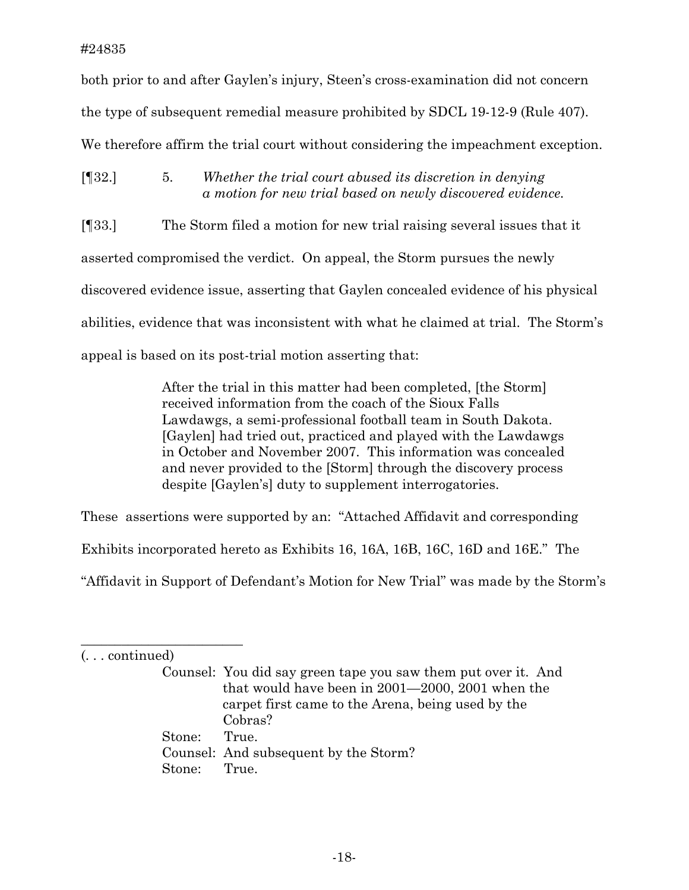## #24835

both prior to and after Gaylen's injury, Steen's cross-examination did not concern the type of subsequent remedial measure prohibited by SDCL 19-12-9 (Rule 407). We therefore affirm the trial court without considering the impeachment exception.

[¶32.] 5. *Whether the trial court abused its discretion in denying a motion for new trial based on newly discovered evidence.* 

[¶33.]The Storm filed a motion for new trial raising several issues that it asserted compromised the verdict. On appeal, the Storm pursues the newly discovered evidence issue, asserting that Gaylen concealed evidence of his physical abilities, evidence that was inconsistent with what he claimed at trial. The Storm's appeal is based on its post-trial motion asserting that:

> After the trial in this matter had been completed, [the Storm] received information from the coach of the Sioux Falls Lawdawgs, a semi-professional football team in South Dakota. [Gaylen] had tried out, practiced and played with the Lawdawgs in October and November 2007. This information was concealed and never provided to the [Storm] through the discovery process despite [Gaylen's] duty to supplement interrogatories.

These assertions were supported by an: "Attached Affidavit and corresponding

Exhibits incorporated hereto as Exhibits 16, 16A, 16B, 16C, 16D and 16E." The

"Affidavit in Support of Defendant's Motion for New Trial" was made by the Storm's

 $\overline{\phantom{a}}$  , where  $\overline{\phantom{a}}$  , where  $\overline{\phantom{a}}$  , where  $\overline{\phantom{a}}$ 

<sup>(. . .</sup> continued)

Counsel: You did say green tape you saw them put over it. And that would have been in 2001—2000, 2001 when the carpet first came to the Arena, being used by the Cobras? Stone: True. Counsel: And subsequent by the Storm? Stone: True.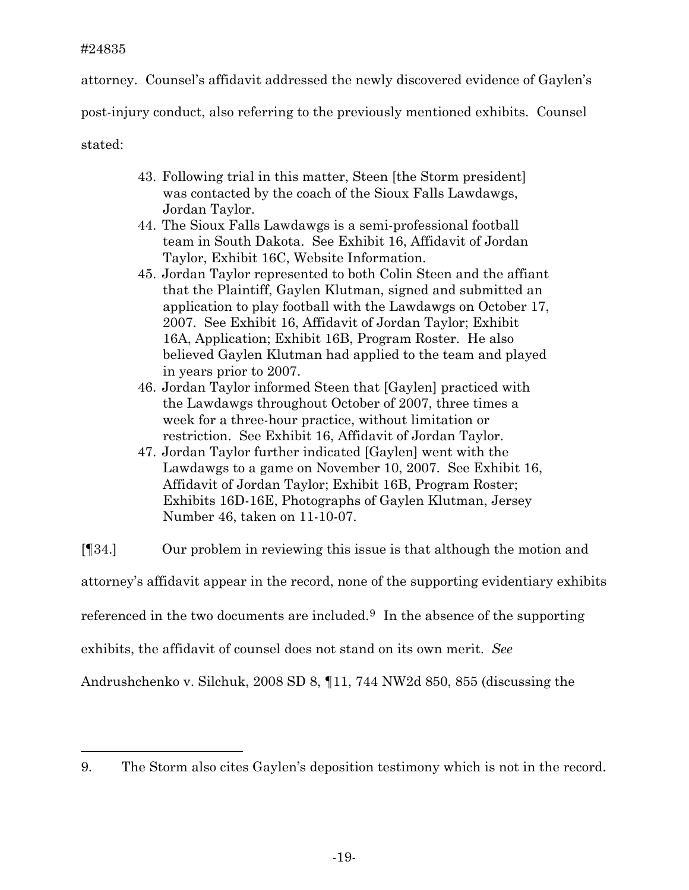# #24835

attorney. Counsel's affidavit addressed the newly discovered evidence of Gaylen's

post-injury conduct, also referring to the previously mentioned exhibits. Counsel

stated:

i

- 43. Following trial in this matter, Steen [the Storm president] was contacted by the coach of the Sioux Falls Lawdawgs, Jordan Taylor.
- 44. The Sioux Falls Lawdawgs is a semi-professional football team in South Dakota. See Exhibit 16, Affidavit of Jordan Taylor, Exhibit 16C, Website Information.
- 45. Jordan Taylor represented to both Colin Steen and the affiant that the Plaintiff, Gaylen Klutman, signed and submitted an application to play football with the Lawdawgs on October 17, 2007. See Exhibit 16, Affidavit of Jordan Taylor; Exhibit 16A, Application; Exhibit 16B, Program Roster. He also believed Gaylen Klutman had applied to the team and played in years prior to 2007.
- 46. Jordan Taylor informed Steen that [Gaylen] practiced with the Lawdawgs throughout October of 2007, three times a week for a three-hour practice, without limitation or restriction. See Exhibit 16, Affidavit of Jordan Taylor.
- 47. Jordan Taylor further indicated [Gaylen] went with the Lawdawgs to a game on November 10, 2007. See Exhibit 16, Affidavit of Jordan Taylor; Exhibit 16B, Program Roster; Exhibits 16D-16E, Photographs of Gaylen Klutman, Jersey Number 46, taken on 11-10-07.

[¶34.] Our problem in reviewing this issue is that although the motion and attorney's affidavit appear in the record, none of the supporting evidentiary exhibits referenced in the two documents are included.<sup>[9](#page-19-0)</sup> In the absence of the supporting exhibits, the affidavit of counsel does not stand on its own merit. *See* Andrushchenko v. Silchuk, 2008 SD 8, ¶11, 744 NW2d 850, 855 (discussing the

<span id="page-19-0"></span><sup>9.</sup> The Storm also cites Gaylen's deposition testimony which is not in the record.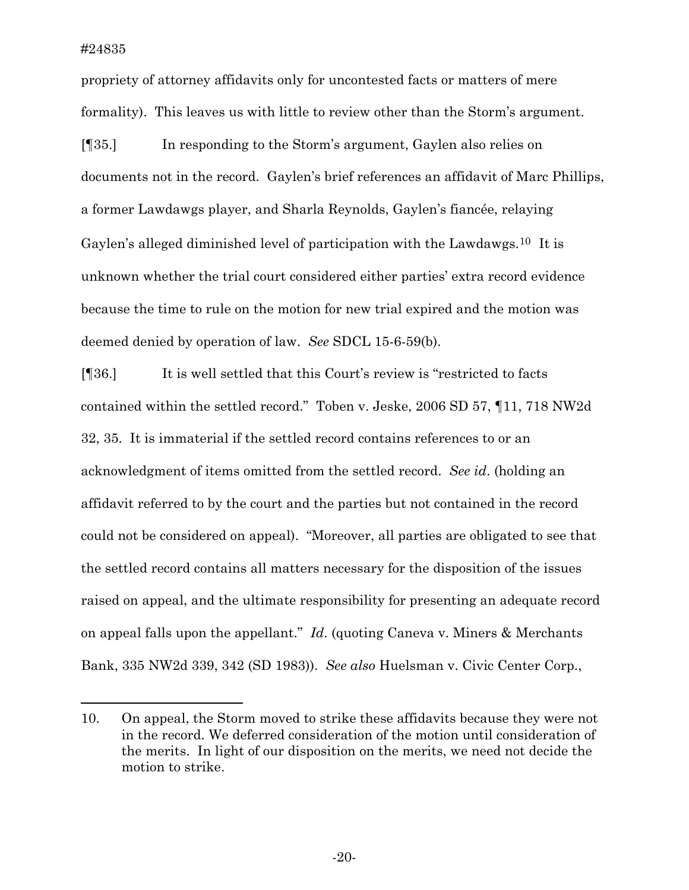propriety of attorney affidavits only for uncontested facts or matters of mere formality). This leaves us with little to review other than the Storm's argument.

[¶35.] In responding to the Storm's argument, Gaylen also relies on documents not in the record. Gaylen's brief references an affidavit of Marc Phillips, a former Lawdawgs player, and Sharla Reynolds, Gaylen's fiancée, relaying Gaylen's alleged diminished level of participation with the Lawdawgs.<sup>[10](#page-20-0)</sup> It is unknown whether the trial court considered either parties' extra record evidence because the time to rule on the motion for new trial expired and the motion was deemed denied by operation of law. *See* SDCL 15-6-59(b).

[¶36.] It is well settled that this Court's review is "restricted to facts contained within the settled record." Toben v. Jeske, 2006 SD 57, ¶11, 718 NW2d 32, 35. It is immaterial if the settled record contains references to or an acknowledgment of items omitted from the settled record. *See id*. (holding an affidavit referred to by the court and the parties but not contained in the record could not be considered on appeal). "Moreover, all parties are obligated to see that the settled record contains all matters necessary for the disposition of the issues raised on appeal, and the ultimate responsibility for presenting an adequate record on appeal falls upon the appellant." *Id*. (quoting Caneva v. Miners & Merchants Bank, 335 NW2d 339, 342 (SD 1983)). *See also* Huelsman v. Civic Center Corp.,

<span id="page-20-0"></span><sup>10.</sup> On appeal, the Storm moved to strike these affidavits because they were not in the record. We deferred consideration of the motion until consideration of the merits. In light of our disposition on the merits, we need not decide the motion to strike.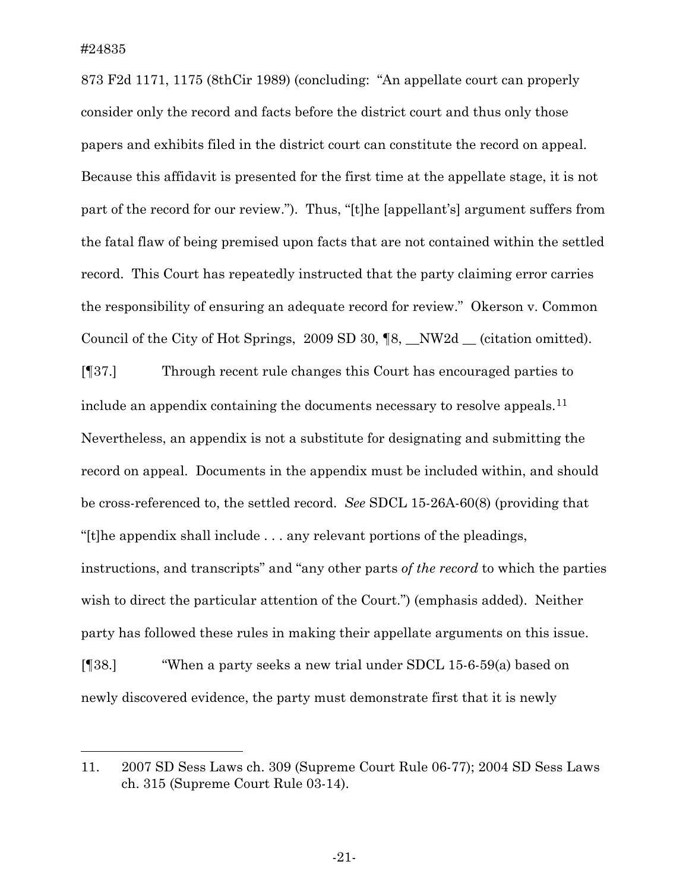i

873 F2d 1171, 1175 (8thCir 1989) (concluding: "An appellate court can properly consider only the record and facts before the district court and thus only those papers and exhibits filed in the district court can constitute the record on appeal. Because this affidavit is presented for the first time at the appellate stage, it is not part of the record for our review."). Thus, "[t]he [appellant's] argument suffers from the fatal flaw of being premised upon facts that are not contained within the settled record. This Court has repeatedly instructed that the party claiming error carries the responsibility of ensuring an adequate record for review." Okerson v. Common Council of the City of Hot Springs, 2009 SD 30, ¶8, \_\_NW2d \_\_ (citation omitted).

[¶37.] Through recent rule changes this Court has encouraged parties to include an appendix containing the documents necessary to resolve appeals.<sup>[11](#page-21-0)</sup> Nevertheless, an appendix is not a substitute for designating and submitting the record on appeal. Documents in the appendix must be included within, and should be cross-referenced to, the settled record. *See* SDCL 15-26A-60(8) (providing that "[t]he appendix shall include . . . any relevant portions of the pleadings, instructions, and transcripts" and "any other parts *of the record* to which the parties wish to direct the particular attention of the Court.") (emphasis added). Neither party has followed these rules in making their appellate arguments on this issue. [¶38.] "When a party seeks a new trial under SDCL 15-6-59(a) based on newly discovered evidence, the party must demonstrate first that it is newly

<span id="page-21-0"></span><sup>11. 2007</sup> SD Sess Laws ch. 309 (Supreme Court Rule 06-77); 2004 SD Sess Laws ch. 315 (Supreme Court Rule 03-14).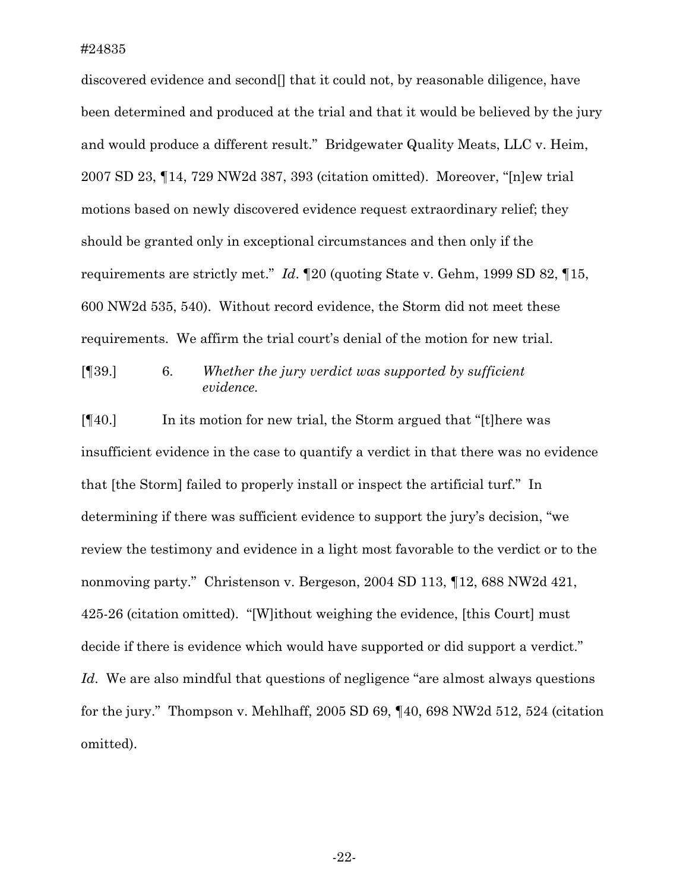discovered evidence and second<sup>[]</sup> that it could not, by reasonable diligence, have been determined and produced at the trial and that it would be believed by the jury and would produce a different result." Bridgewater Quality Meats, LLC v. Heim, 2007 SD 23, ¶14, 729 NW2d 387, 393 (citation omitted). Moreover, "[n]ew trial motions based on newly discovered evidence request extraordinary relief; they should be granted only in exceptional circumstances and then only if the requirements are strictly met." *Id*. ¶20 (quoting State v. Gehm, 1999 SD 82, ¶15, 600 NW2d 535, 540). Without record evidence, the Storm did not meet these requirements. We affirm the trial court's denial of the motion for new trial.

[¶39.] 6. *Whether the jury verdict was supported by sufficient evidence.* 

[¶40.] In its motion for new trial, the Storm argued that "[t]here was insufficient evidence in the case to quantify a verdict in that there was no evidence that [the Storm] failed to properly install or inspect the artificial turf." In determining if there was sufficient evidence to support the jury's decision, "we review the testimony and evidence in a light most favorable to the verdict or to the nonmoving party." Christenson v. Bergeson, 2004 SD 113, ¶12, 688 NW2d 421, 425-26 (citation omitted). "[W]ithout weighing the evidence, [this Court] must decide if there is evidence which would have supported or did support a verdict." Id. We are also mindful that questions of negligence "are almost always questions" for the jury." Thompson v. Mehlhaff, 2005 SD 69, ¶40, 698 NW2d 512, 524 (citation omitted).

-22-